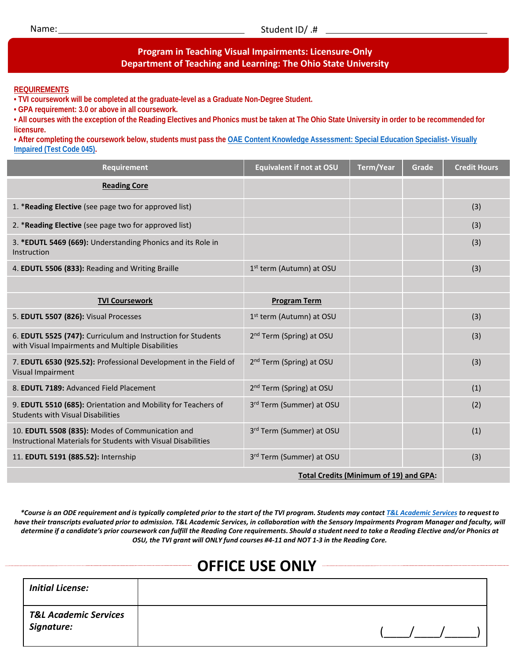## **Program in Teaching Visual Impairments: Licensure-Only Department of Teaching and Learning: The Ohio State University**

## **REQUIREMENTS**

**• TVI coursework will be completed at the graduate-level as a Graduate Non-Degree Student.**

**• GPA requirement: 3.0 or above in all coursework.**

**• All courses with the exception of the Reading Electives and Phonics must be taken at The Ohio State University in order to be recommended for licensure.** 

**• After completing the coursework below, students must pass the OAE Content Knowledge Assessment: Special Education Specialist- Visually Impaired (Test Code 045).**

| <b>Requirement</b>                                                                                                | <b>Equivalent if not at OSU</b>      | <b>Term/Year</b> | Grade | <b>Credit Hours</b> |
|-------------------------------------------------------------------------------------------------------------------|--------------------------------------|------------------|-------|---------------------|
| <b>Reading Core</b>                                                                                               |                                      |                  |       |                     |
| 1. *Reading Elective (see page two for approved list)                                                             |                                      |                  |       | (3)                 |
| 2. *Reading Elective (see page two for approved list)                                                             |                                      |                  |       | (3)                 |
| 3. *EDUTL 5469 (669): Understanding Phonics and its Role in<br>Instruction                                        |                                      |                  |       | (3)                 |
| 4. EDUTL 5506 (833): Reading and Writing Braille                                                                  | 1st term (Autumn) at OSU             |                  |       | (3)                 |
|                                                                                                                   |                                      |                  |       |                     |
| <b>TVI Coursework</b>                                                                                             | <b>Program Term</b>                  |                  |       |                     |
| 5. EDUTL 5507 (826): Visual Processes                                                                             | 1st term (Autumn) at OSU             |                  |       | (3)                 |
| 6. EDUTL 5525 (747): Curriculum and Instruction for Students<br>with Visual Impairments and Multiple Disabilities | 2 <sup>nd</sup> Term (Spring) at OSU |                  |       | (3)                 |
| 7. EDUTL 6530 (925.52): Professional Development in the Field of<br>Visual Impairment                             | 2 <sup>nd</sup> Term (Spring) at OSU |                  |       | (3)                 |
| 8. EDUTL 7189: Advanced Field Placement                                                                           | 2 <sup>nd</sup> Term (Spring) at OSU |                  |       | (1)                 |
| 9. EDUTL 5510 (685): Orientation and Mobility for Teachers of<br><b>Students with Visual Disabilities</b>         | 3rd Term (Summer) at OSU             |                  |       | (2)                 |
| 10. EDUTL 5508 (835): Modes of Communication and<br>Instructional Materials for Students with Visual Disabilities | 3rd Term (Summer) at OSU             |                  |       | (1)                 |
| 11. EDUTL 5191 (885.52): Internship                                                                               | 3rd Term (Summer) at OSU             |                  |       | (3)                 |
| <b>Total Credits (Minimum of 19) and GPA:</b>                                                                     |                                      |                  |       |                     |

*\*Course is an ODE requirement and is typically completed prior to the start of the TVI program. Students may contact [T&L Academic Services](http://tl.ehe.osu.edu/academic-services) to request to have their transcripts evaluated prior to admission. T&L Academic Services, in collaboration with the Sensory Impairments Program Manager and faculty, will determine if a candidate's prior coursework can fulfill the Reading Core requirements. Should a student need to take a Reading Elective and/or Phonics at OSU, the TVI grant will ONLY fund courses #4-11 and NOT 1-3 in the Reading Core.*

| <b>OFFICE USE ONLY</b>                         |  |  |  |  |  |
|------------------------------------------------|--|--|--|--|--|
| <b>Initial License:</b>                        |  |  |  |  |  |
| <b>T&amp;L Academic Services</b><br>Signature: |  |  |  |  |  |